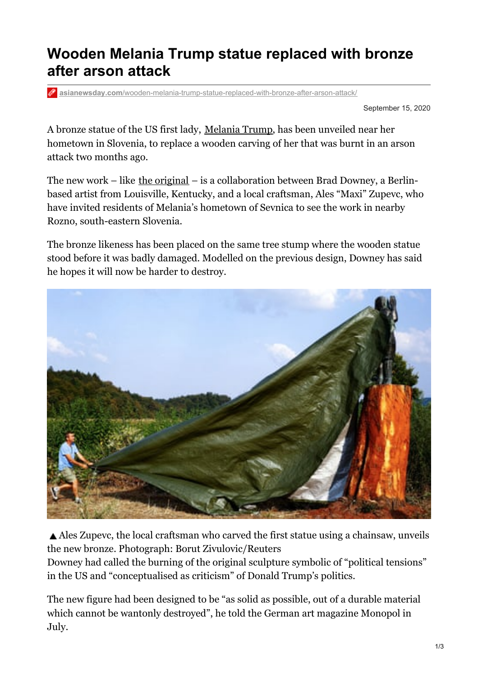## **Wooden Melania Trump statue replaced with bronze after arson attack**

**asianewsday.com**[/wooden-melania-trump-statue-replaced-with-bronze-after-arson-attack/](https://www.asianewsday.com/wooden-melania-trump-statue-replaced-with-bronze-after-arson-attack/)

September 15, 2020

A bronze statue of the US first lady, [Melania](https://www.theguardian.com/us-news/melania-trump) Trump, has been unveiled near her hometown in Slovenia, to replace a wooden carving of her that was burnt in an arson attack two months ago.

The new work – like the [original](https://www.theguardian.com/us-news/2019/jul/05/melania-trump-statue-slovenia-sevnica) – is a collaboration between Brad Downey, a Berlinbased artist from Louisville, Kentucky, and a local craftsman, Ales "Maxi" Zupevc, who have invited residents of Melania's hometown of Sevnica to see the work in nearby Rozno, south-eastern Slovenia.

The bronze likeness has been placed on the same tree stump where the wooden statue stood before it was badly damaged. Modelled on the previous design, Downey has said he hopes it will now be harder to destroy.



Ales Zupevc, the local craftsman who carved the first statue using a chainsaw, unveils the new bronze. Photograph: Borut Zivulovic/Reuters

Downey had called the burning of the original sculpture symbolic of "political tensions" in the US and "conceptualised as criticism" of Donald Trump's politics.

The new figure had been designed to be "as solid as possible, out of a durable material which cannot be wantonly destroyed", he told the German art magazine Monopol in July.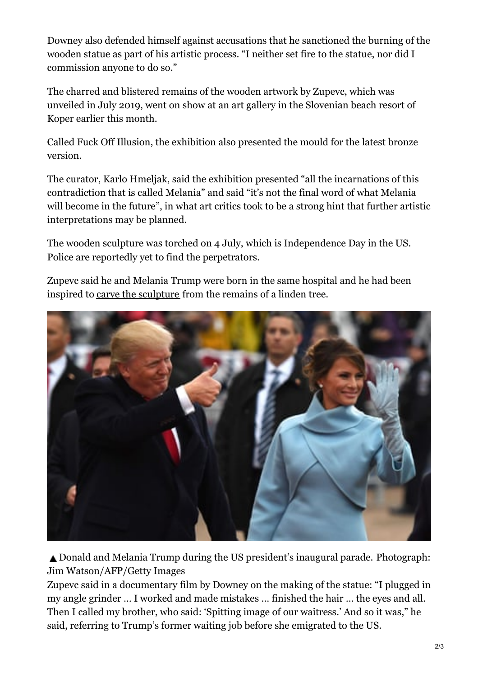Downey also defended himself against accusations that he sanctioned the burning of the wooden statue as part of his artistic process. "I neither set fire to the statue, nor did I commission anyone to do so."

The charred and blistered remains of the wooden artwork by Zupevc, which was unveiled in July 2019, went on show at an art gallery in the Slovenian beach resort of Koper earlier this month.

Called Fuck Off Illusion, the exhibition also presented the mould for the latest bronze version.

The curator, Karlo Hmeljak, said the exhibition presented "all the incarnations of this contradiction that is called Melania" and said "it's not the final word of what Melania will become in the future", in what art critics took to be a strong hint that further artistic interpretations may be planned.

The wooden sculpture was torched on 4 July, which is Independence Day in the US. Police are reportedly yet to find the perpetrators.

Zupevc said he and Melania Trump were born in the same hospital and he had been inspired to carve the [sculpture](https://www.youtube.com/watch?v=5tY62-dSx40&feature=youtu.be) from the remains of a linden tree.



▲ Donald and Melania Trump during the US president's inaugural parade. Photograph: Jim Watson/AFP/Getty Images

Zupevc said in a documentary film by Downey on the making of the statue: "I plugged in my angle grinder … I worked and made mistakes … finished the hair … the eyes and all. Then I called my brother, who said: 'Spitting image of our waitress.' And so it was," he said, referring to Trump's former waiting job before she emigrated to the US.